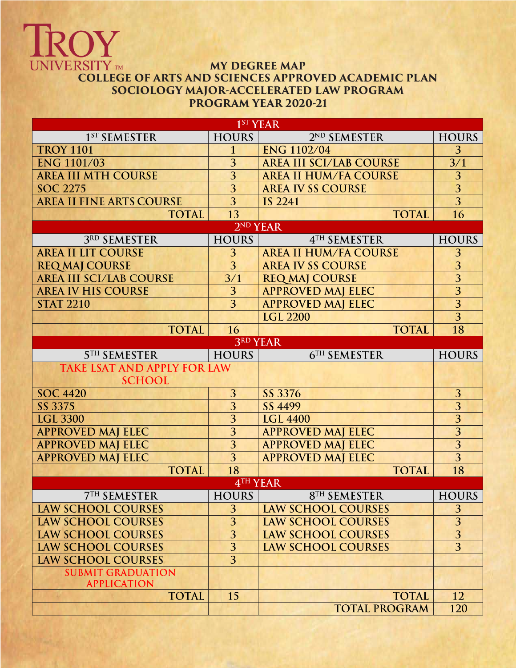## OY **UNIVERSITY** TM **MY DEGREE MAP COLLEGE OF ARTS AND SCIENCES APPROVED ACADEMIC PLAN SOCIOLOGY MAJOR-ACCELERATED LAW PROGRAM PROGRAM YEAR 2020-21**

| 1 <sup>ST</sup> YEAR                                                     |                      |                                      |                |  |  |  |  |  |
|--------------------------------------------------------------------------|----------------------|--------------------------------------|----------------|--|--|--|--|--|
| 1 <sup>ST</sup> SEMESTER                                                 | <b>HOURS</b>         | 2 <sup>ND</sup> SEMESTER             | <b>HOURS</b>   |  |  |  |  |  |
| <b>ENG 1102/04</b><br><b>TROY 1101</b><br>$\mathbf{1}$                   |                      | 3                                    |                |  |  |  |  |  |
| <b>ENG 1101/03</b>                                                       | 3                    | <b>AREA III SCI/LAB COURSE</b>       | 3/1            |  |  |  |  |  |
| <b>AREA III MTH COURSE</b>                                               | $\overline{3}$       | <b>AREA II HUM/FA COURSE</b>         | 3              |  |  |  |  |  |
| <b>SOC 2275</b>                                                          | 3                    | <b>AREA IV SS COURSE</b>             | $\overline{3}$ |  |  |  |  |  |
| <b>AREA II FINE ARTS COURSE</b>                                          | $\overline{3}$       | IS 2241                              | $\overline{3}$ |  |  |  |  |  |
| <b>TOTAL</b>                                                             | 13                   | <b>TOTAL</b>                         | 16             |  |  |  |  |  |
|                                                                          | 2 <sup>ND</sup> YEAR |                                      |                |  |  |  |  |  |
| 3RD SEMESTER                                                             | <b>HOURS</b>         | 4TH SEMESTER                         | <b>HOURS</b>   |  |  |  |  |  |
| <b>AREA II LIT COURSE</b>                                                | 3                    | <b>AREA II HUM/FA COURSE</b>         | 3              |  |  |  |  |  |
| <b>REQ MAJ COURSE</b>                                                    | $\overline{3}$       | <b>AREA IV SS COURSE</b>             | $\overline{3}$ |  |  |  |  |  |
| <b>AREA III SCI/LAB COURSE</b>                                           | 3/1                  | <b>REQ MAJ COURSE</b>                | $\overline{3}$ |  |  |  |  |  |
| <b>AREA IV HIS COURSE</b>                                                | 3                    | <b>APPROVED MAJ ELEC</b>             | $\overline{3}$ |  |  |  |  |  |
| <b>STAT 2210</b>                                                         | $\overline{3}$       | <b>APPROVED MAJ ELEC</b>             | $\overline{3}$ |  |  |  |  |  |
|                                                                          |                      | <b>LGL 2200</b>                      | $\overline{3}$ |  |  |  |  |  |
| <b>TOTAL</b>                                                             | 16                   | <b>TOTAL</b>                         | 18             |  |  |  |  |  |
|                                                                          |                      | 3RD YEAR                             |                |  |  |  |  |  |
| <b>5TH SEMESTER</b>                                                      | <b>HOURS</b>         | <b>6TH SEMESTER</b>                  | <b>HOURS</b>   |  |  |  |  |  |
| <b>TAKE LSAT AND APPLY FOR LAW</b>                                       |                      |                                      |                |  |  |  |  |  |
| <b>SCHOOL</b>                                                            |                      |                                      |                |  |  |  |  |  |
| <b>SOC 4420</b>                                                          | 3                    | SS 3376                              | 3              |  |  |  |  |  |
| $\overline{3}$<br>SS 3375<br>SS 4499                                     |                      |                                      | $\overline{3}$ |  |  |  |  |  |
| <b>LGL 3300</b>                                                          | $\overline{3}$       | <b>LGL 4400</b>                      | $\overline{3}$ |  |  |  |  |  |
| <b>APPROVED MAJ ELEC</b>                                                 | 3                    | <b>APPROVED MAJ ELEC</b>             | 3              |  |  |  |  |  |
| <b>APPROVED MAJ ELEC</b>                                                 | $\overline{3}$       | <b>APPROVED MAJ ELEC</b>             | $\overline{3}$ |  |  |  |  |  |
| <b>APPROVED MAJ ELEC</b>                                                 | $\overline{3}$       | <b>APPROVED MAJ ELEC</b>             | $\overline{3}$ |  |  |  |  |  |
| <b>TOTAL</b>                                                             | 18                   | <b>TOTAL</b>                         | 18             |  |  |  |  |  |
| 4TH YEAR                                                                 |                      |                                      |                |  |  |  |  |  |
| <b>7TH SEMESTER</b>                                                      | <b>HOURS</b>         | <b>8TH SEMESTER</b>                  | <b>HOURS</b>   |  |  |  |  |  |
| <b>LAW SCHOOL COURSES</b>                                                | 3                    | <b>LAW SCHOOL COURSES</b>            | 3              |  |  |  |  |  |
| 3<br><b>LAW SCHOOL COURSES</b>                                           |                      | <b>LAW SCHOOL COURSES</b>            | 3              |  |  |  |  |  |
| $\overline{3}$<br><b>LAW SCHOOL COURSES</b><br><b>LAW SCHOOL COURSES</b> |                      | $\overline{3}$                       |                |  |  |  |  |  |
| <b>LAW SCHOOL COURSES</b>                                                | 3                    | <b>LAW SCHOOL COURSES</b>            | 3              |  |  |  |  |  |
|                                                                          |                      |                                      |                |  |  |  |  |  |
| <b>LAW SCHOOL COURSES</b>                                                | $\overline{3}$       |                                      |                |  |  |  |  |  |
| <b>SUBMIT GRADUATION</b>                                                 |                      |                                      |                |  |  |  |  |  |
| <b>APPLICATION</b>                                                       |                      |                                      |                |  |  |  |  |  |
| <b>TOTAL</b>                                                             | 15                   | <b>TOTAL</b><br><b>TOTAL PROGRAM</b> | 12<br>120      |  |  |  |  |  |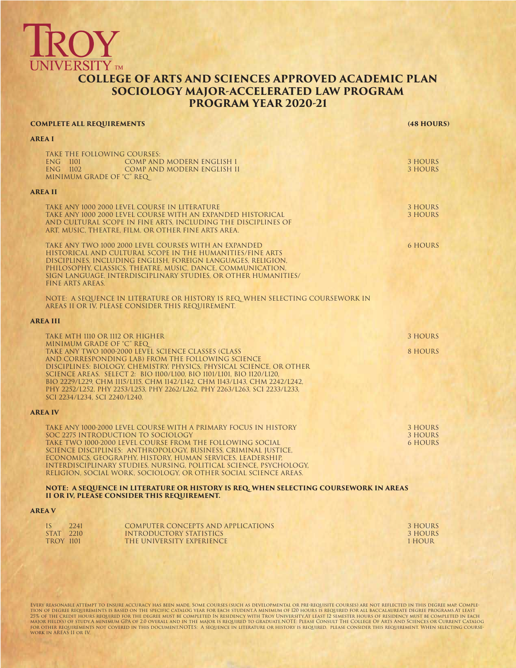## **JNIVERSITY** TM **COLLEGE OF ARTS AND SCIENCES APPROVED ACADEMIC PLAN SOCIOLOGY MAJOR-ACCELERATED LAW PROGRAM PROGRAM YEAR 2020-21**

| <b>AREA I</b><br>TAKE THE FOLLOWING COURSES:<br>ENG 1101<br>COMP AND MODERN ENGLISH I<br>3 HOURS<br>ENG 1102<br>COMP AND MODERN ENGLISH II<br><b>3 HOURS</b><br>MINIMUM GRADE OF "C" REQ<br><b>AREA II</b><br>TAKE ANY 1000 2000 LEVEL COURSE IN LITERATURE<br>3 HOURS<br>TAKE ANY 1000 2000 LEVEL COURSE WITH AN EXPANDED HISTORICAL<br>3 HOURS<br>AND CULTURAL SCOPE IN FINE ARTS, INCLUDING THE DISCIPLINES OF<br>ART, MUSIC, THEATRE, FILM, OR OTHER FINE ARTS AREA.<br>TAKE ANY TWO 1000 2000 LEVEL COURSES WITH AN EXPANDED<br><b>6 HOURS</b><br>HISTORICAL AND CULTURAL SCOPE IN THE HUMANITIES/FINE ARTS<br>DISCIPLINES, INCLUDING ENGLISH, FOREIGN LANGUAGES, RELIGION,<br>PHILOSOPHY, CLASSICS, THEATRE, MUSIC, DANCE, COMMUNICATION,<br>SIGN LANGUAGE, INTERDISCIPLINARY STUDIES, OR OTHER HUMANITIES/<br><b>FINE ARTS AREAS.</b><br>NOTE: A SEQUENCE IN LITERATURE OR HISTORY IS REQ. WHEN SELECTING COURSEWORK IN<br>AREAS II OR IV, PLEASE CONSIDER THIS REQUIREMENT.<br>AREA III<br>TAKE MTH 1110 OR 1112 OR HIGHER<br>3 HOURS<br>MINIMUM GRADE OF "C" REQ<br>TAKE ANY TWO 1000-2000 LEVEL SCIENCE CLASSES (CLASS<br>8 HOURS<br>AND CORRESPONDING LAB) FROM THE FOLLOWING SCIENCE<br>DISCIPLINES: BIOLOGY, CHEMISTRY, PHYSICS, PHYSICAL SCIENCE, OR OTHER<br>SCIENCE AREAS. SELECT 2: BIO 1100/L100, BIO 1101/L101, BIO 1120/L120,<br>BIO 2229/L229, CHM 1115/L115, CHM 1142/L142, CHM 1143/L143, CHM 2242/L242,<br>PHY 2252/L252, PHY 2253/L253, PHY 2262/L262, PHY 2263/L263, SCI 2233/L233,<br>SCI 2234/L234, SCI 2240/L240.<br><b>AREA IV</b><br>TAKE ANY 1000-2000 LEVEL COURSE WITH A PRIMARY FOCUS IN HISTORY<br>3 HOURS<br>SOC 2275 INTRODUCTION TO SOCIOLOGY<br>3 HOURS<br>TAKE TWO 1000-2000 LEVEL COURSE FROM THE FOLLOWING SOCIAL<br><b>6 HOURS</b><br>SCIENCE DISCIPLINES: ANTHROPOLOGY, BUSINESS, CRIMINAL IUSTICE.<br>ECONOMICS, GEOGRAPHY, HISTORY, HUMAN SERVICES, LEADERSHIP,<br>INTERDISCIPLINARY STUDIES, NURSING, POLITICAL SCIENCE, PSYCHOLOGY,<br>RELIGION, SOCIAL WORK, SOCIOLOGY, OR OTHER SOCIAL SCIENCE AREAS.<br>NOTE: A SEQUENCE IN LITERATURE OR HISTORY IS REQ. WHEN SELECTING COURSEWORK IN AREAS<br>II OR IV, PLEASE CONSIDER THIS REQUIREMENT.<br><b>AREA V</b><br>IS<br>2241<br><b>COMPUTER CONCEPTS AND APPLICATIONS</b><br>3 HOURS<br>STAT 2210<br>INTRODUCTORY STATISTICS<br>3 HOURS<br><b>TROY 1101</b><br>THE UNIVERSITY EXPERIENCE<br>1 HOUR | <b>COMPLETE ALL REQUIREMENTS</b> | (48 HOURS) |
|------------------------------------------------------------------------------------------------------------------------------------------------------------------------------------------------------------------------------------------------------------------------------------------------------------------------------------------------------------------------------------------------------------------------------------------------------------------------------------------------------------------------------------------------------------------------------------------------------------------------------------------------------------------------------------------------------------------------------------------------------------------------------------------------------------------------------------------------------------------------------------------------------------------------------------------------------------------------------------------------------------------------------------------------------------------------------------------------------------------------------------------------------------------------------------------------------------------------------------------------------------------------------------------------------------------------------------------------------------------------------------------------------------------------------------------------------------------------------------------------------------------------------------------------------------------------------------------------------------------------------------------------------------------------------------------------------------------------------------------------------------------------------------------------------------------------------------------------------------------------------------------------------------------------------------------------------------------------------------------------------------------------------------------------------------------------------------------------------------------------------------------------------------------------------------------------------------------------------------------------------------------------------------------------------------------------------------------------------------------------------------------------------|----------------------------------|------------|
|                                                                                                                                                                                                                                                                                                                                                                                                                                                                                                                                                                                                                                                                                                                                                                                                                                                                                                                                                                                                                                                                                                                                                                                                                                                                                                                                                                                                                                                                                                                                                                                                                                                                                                                                                                                                                                                                                                                                                                                                                                                                                                                                                                                                                                                                                                                                                                                                      |                                  |            |
|                                                                                                                                                                                                                                                                                                                                                                                                                                                                                                                                                                                                                                                                                                                                                                                                                                                                                                                                                                                                                                                                                                                                                                                                                                                                                                                                                                                                                                                                                                                                                                                                                                                                                                                                                                                                                                                                                                                                                                                                                                                                                                                                                                                                                                                                                                                                                                                                      |                                  |            |
|                                                                                                                                                                                                                                                                                                                                                                                                                                                                                                                                                                                                                                                                                                                                                                                                                                                                                                                                                                                                                                                                                                                                                                                                                                                                                                                                                                                                                                                                                                                                                                                                                                                                                                                                                                                                                                                                                                                                                                                                                                                                                                                                                                                                                                                                                                                                                                                                      |                                  |            |
|                                                                                                                                                                                                                                                                                                                                                                                                                                                                                                                                                                                                                                                                                                                                                                                                                                                                                                                                                                                                                                                                                                                                                                                                                                                                                                                                                                                                                                                                                                                                                                                                                                                                                                                                                                                                                                                                                                                                                                                                                                                                                                                                                                                                                                                                                                                                                                                                      |                                  |            |
|                                                                                                                                                                                                                                                                                                                                                                                                                                                                                                                                                                                                                                                                                                                                                                                                                                                                                                                                                                                                                                                                                                                                                                                                                                                                                                                                                                                                                                                                                                                                                                                                                                                                                                                                                                                                                                                                                                                                                                                                                                                                                                                                                                                                                                                                                                                                                                                                      |                                  |            |
|                                                                                                                                                                                                                                                                                                                                                                                                                                                                                                                                                                                                                                                                                                                                                                                                                                                                                                                                                                                                                                                                                                                                                                                                                                                                                                                                                                                                                                                                                                                                                                                                                                                                                                                                                                                                                                                                                                                                                                                                                                                                                                                                                                                                                                                                                                                                                                                                      |                                  |            |
|                                                                                                                                                                                                                                                                                                                                                                                                                                                                                                                                                                                                                                                                                                                                                                                                                                                                                                                                                                                                                                                                                                                                                                                                                                                                                                                                                                                                                                                                                                                                                                                                                                                                                                                                                                                                                                                                                                                                                                                                                                                                                                                                                                                                                                                                                                                                                                                                      |                                  |            |
|                                                                                                                                                                                                                                                                                                                                                                                                                                                                                                                                                                                                                                                                                                                                                                                                                                                                                                                                                                                                                                                                                                                                                                                                                                                                                                                                                                                                                                                                                                                                                                                                                                                                                                                                                                                                                                                                                                                                                                                                                                                                                                                                                                                                                                                                                                                                                                                                      |                                  |            |
|                                                                                                                                                                                                                                                                                                                                                                                                                                                                                                                                                                                                                                                                                                                                                                                                                                                                                                                                                                                                                                                                                                                                                                                                                                                                                                                                                                                                                                                                                                                                                                                                                                                                                                                                                                                                                                                                                                                                                                                                                                                                                                                                                                                                                                                                                                                                                                                                      |                                  |            |
|                                                                                                                                                                                                                                                                                                                                                                                                                                                                                                                                                                                                                                                                                                                                                                                                                                                                                                                                                                                                                                                                                                                                                                                                                                                                                                                                                                                                                                                                                                                                                                                                                                                                                                                                                                                                                                                                                                                                                                                                                                                                                                                                                                                                                                                                                                                                                                                                      |                                  |            |
|                                                                                                                                                                                                                                                                                                                                                                                                                                                                                                                                                                                                                                                                                                                                                                                                                                                                                                                                                                                                                                                                                                                                                                                                                                                                                                                                                                                                                                                                                                                                                                                                                                                                                                                                                                                                                                                                                                                                                                                                                                                                                                                                                                                                                                                                                                                                                                                                      |                                  |            |
|                                                                                                                                                                                                                                                                                                                                                                                                                                                                                                                                                                                                                                                                                                                                                                                                                                                                                                                                                                                                                                                                                                                                                                                                                                                                                                                                                                                                                                                                                                                                                                                                                                                                                                                                                                                                                                                                                                                                                                                                                                                                                                                                                                                                                                                                                                                                                                                                      |                                  |            |
|                                                                                                                                                                                                                                                                                                                                                                                                                                                                                                                                                                                                                                                                                                                                                                                                                                                                                                                                                                                                                                                                                                                                                                                                                                                                                                                                                                                                                                                                                                                                                                                                                                                                                                                                                                                                                                                                                                                                                                                                                                                                                                                                                                                                                                                                                                                                                                                                      |                                  |            |
|                                                                                                                                                                                                                                                                                                                                                                                                                                                                                                                                                                                                                                                                                                                                                                                                                                                                                                                                                                                                                                                                                                                                                                                                                                                                                                                                                                                                                                                                                                                                                                                                                                                                                                                                                                                                                                                                                                                                                                                                                                                                                                                                                                                                                                                                                                                                                                                                      |                                  |            |

EVERY REASONABLE ATTEMPT TO ENSURE ACCURACY HAS BEEN MADE. SOME COURSES (SUCH AS DEVELOPMENTAL OR PRE-REQUISED SOME COURSES) ARE NOT REFLECTED IN THIS DEGREE MAP. COMPLE-<br>TION OF DEGREE REQUREMENTS IS BASED ON THE SPECIFIC